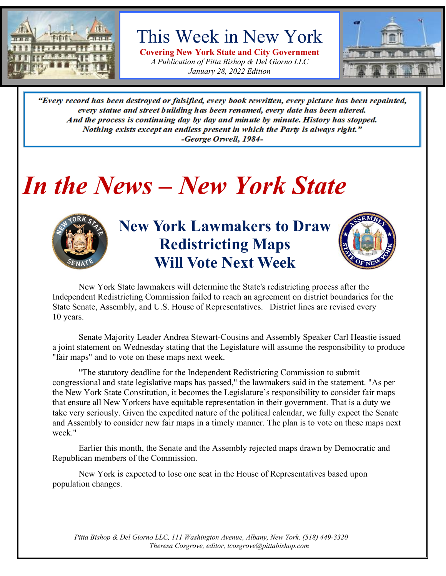

This Week in New York

**Covering New York State and City Government** *A Publication of Pitta Bishop & Del Giorno LLC January 28, 2022 Edition*



"Every record has been destroyed or falsified, every book rewritten, every picture has been repainted, every statue and street building has been renamed, every date has been altered. And the process is continuing day by day and minute by minute. History has stopped. Nothing exists except an endless present in which the Party is always right." -George Orwell, 1984-

### *In the News – New York State*



**New York Lawmakers to Draw Redistricting Maps Will Vote Next Week**



New York State lawmakers will determine the State's redistricting process after the Independent Redistricting Commission failed to reach an agreement on district boundaries for the State Senate, Assembly, and U.S. House of Representatives. District lines are revised every 10 years.

Senate Majority Leader Andrea Stewart-Cousins and Assembly Speaker Carl Heastie issued a joint statement on Wednesday stating that the Legislature will assume the responsibility to produce "fair maps" and to vote on these maps next week.

"The statutory deadline for the Independent Redistricting Commission to submit congressional and state legislative maps has passed," the lawmakers said in the statement. "As per the New York State Constitution, it becomes the Legislature's responsibility to consider fair maps that ensure all New Yorkers have equitable representation in their government. That is a duty we take very seriously. Given the expedited nature of the political calendar, we fully expect the Senate and Assembly to consider new fair maps in a timely manner. The plan is to vote on these maps next week."

Earlier this month, the Senate and the Assembly rejected maps drawn by Democratic and Republican members of the Commission.

New York is expected to lose one seat in the House of Representatives based upon population changes.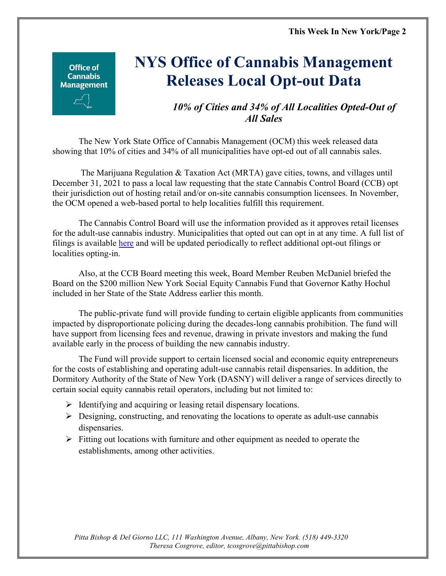Office of **Cannabis Management** 

### **NYS Office of Cannabis Management Releases Local Opt-out Data**

#### *10% of Cities and 34% of All Localities Opted-Out of All Sales*

The New York State Office of Cannabis Management (OCM) this week released data showing that 10% of cities and 34% of all municipalities have opt-ed out of all cannabis sales.

The Marijuana Regulation & Taxation Act (MRTA) gave cities, towns, and villages until December 31, 2021 to pass a local law requesting that the state Cannabis Control Board (CCB) opt their jurisdiction out of hosting retail and/or on-site cannabis consumption licensees. In November, the OCM opened a web-based portal to help localities fulfill this requirement.

The Cannabis Control Board will use the information provided as it approves retail licenses for the adult-use cannabis industry. Municipalities that opted out can opt in at any time. A full list of filings is available [here](https://cannabis.ny.gov/local-opt-out-form) and will be updated periodically to reflect additional opt-out filings or localities opting-in.

Also, at the CCB Board meeting this week, Board Member Reuben McDaniel briefed the Board on the \$200 million New York Social Equity Cannabis Fund that Governor Kathy Hochul included in her State of the State Address earlier this month.

The public-private fund will provide funding to certain eligible applicants from communities impacted by disproportionate policing during the decades-long cannabis prohibition. The fund will have support from licensing fees and revenue, drawing in private investors and making the fund available early in the process of building the new cannabis industry.

The Fund will provide support to certain licensed social and economic equity entrepreneurs for the costs of establishing and operating adult-use cannabis retail dispensaries. In addition, the Dormitory Authority of the State of New York (DASNY) will deliver a range of services directly to certain social equity cannabis retail operators, including but not limited to:

- $\triangleright$  Identifying and acquiring or leasing retail dispensary locations.
- $\triangleright$  Designing, constructing, and renovating the locations to operate as adult-use cannabis dispensaries.
- $\triangleright$  Fitting out locations with furniture and other equipment as needed to operate the establishments, among other activities.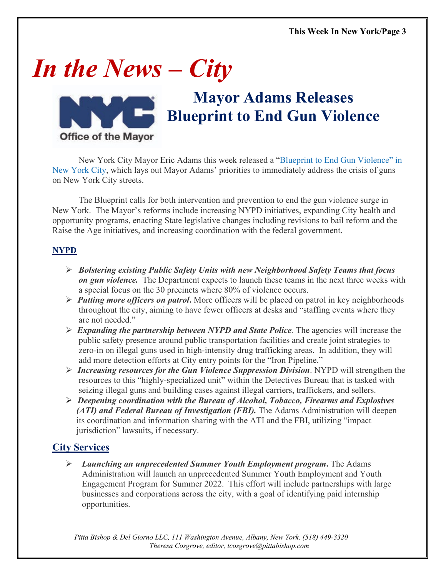# *In the News – City*



### **Mayor Adams Releases Blueprint to End Gun Violence**

New York City Mayor Eric Adams this week released a ["Blueprint to End Gun Violence" in](https://www1.nyc.gov/assets/home/downloads/pdf/press-releases/2022/the-blueprint-to-end-gun-violence.pdf)  [New York City,](https://www1.nyc.gov/assets/home/downloads/pdf/press-releases/2022/the-blueprint-to-end-gun-violence.pdf) which lays out Mayor Adams' priorities to immediately address the crisis of guns on New York City streets.

The Blueprint calls for both intervention and prevention to end the gun violence surge in New York. The Mayor's reforms include increasing NYPD initiatives, expanding City health and opportunity programs, enacting State legislative changes including revisions to bail reform and the Raise the Age initiatives, and increasing coordination with the federal government.

#### **NYPD**

- *Bolstering existing Public Safety Units with new Neighborhood Safety Teams that focus on gun violence.* The Department expects to launch these teams in the next three weeks with a special focus on the 30 precincts where 80% of violence occurs.
- *Putting more officers on patrol***.** More officers will be placed on patrol in key neighborhoods throughout the city, aiming to have fewer officers at desks and "staffing events where they are not needed."
- $\triangleright$  **Expanding the partnership between NYPD and State Police**. The agencies will increase the public safety presence around public transportation facilities and create joint strategies to zero-in on illegal guns used in high-intensity drug trafficking areas. In addition, they will add more detection efforts at City entry points for the "Iron Pipeline."
- *Increasing resources for the Gun Violence Suppression Division*. NYPD will strengthen the resources to this "highly-specialized unit" within the Detectives Bureau that is tasked with seizing illegal guns and building cases against illegal carriers, traffickers, and sellers.
- *Deepening coordination with the Bureau of Alcohol, Tobacco, Firearms and Explosives (ATI) and Federal Bureau of Investigation (FBI).* The Adams Administration will deepen its coordination and information sharing with the ATI and the FBI, utilizing "impact" jurisdiction" lawsuits, if necessary.

#### **City Services**

 *Launching an unprecedented Summer Youth Employment program***.** The Adams Administration will launch an unprecedented Summer Youth Employment and Youth Engagement Program for Summer 2022. This effort will include partnerships with large businesses and corporations across the city, with a goal of identifying paid internship opportunities.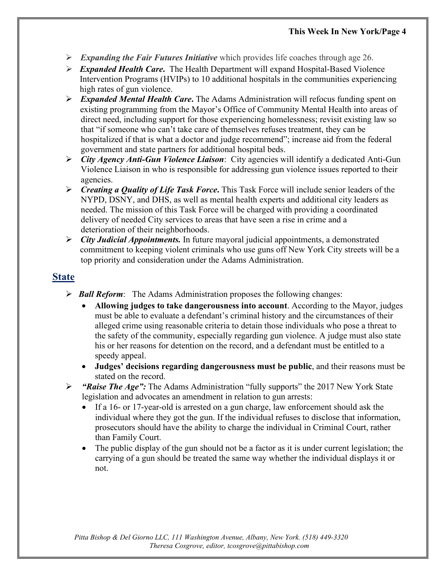- *Expanding the Fair Futures Initiative* which provides life coaches through age 26.
- *Expanded Health Care***.** The Health Department will expand Hospital-Based Violence Intervention Programs (HVIPs) to 10 additional hospitals in the communities experiencing high rates of gun violence.
- *Expanded Mental Health Care***.** The Adams Administration will refocus funding spent on existing programming from the Mayor's Office of Community Mental Health into areas of direct need, including support for those experiencing homelessness; revisit existing law so that "if someone who can't take care of themselves refuses treatment, they can be hospitalized if that is what a doctor and judge recommend"; increase aid from the federal government and state partners for additional hospital beds.
- *City Agency Anti-Gun Violence Liaison*: City agencies will identify a dedicated Anti-Gun Violence Liaison in who is responsible for addressing gun violence issues reported to their agencies.
- *Creating a Quality of Life Task Force***.** This Task Force will include senior leaders of the NYPD, DSNY, and DHS, as well as mental health experts and additional city leaders as needed. The mission of this Task Force will be charged with providing a coordinated delivery of needed City services to areas that have seen a rise in crime and a deterioration of their neighborhoods.
- *City Judicial Appointments.* In future mayoral judicial appointments, a demonstrated commitment to keeping violent criminals who use guns off New York City streets will be a top priority and consideration under the Adams Administration.

#### **State**

- *Ball Reform*: The Adams Administration proposes the following changes:
	- **Allowing judges to take dangerousness into account**. According to the Mayor, judges must be able to evaluate a defendant's criminal history and the circumstances of their alleged crime using reasonable criteria to detain those individuals who pose a threat to the safety of the community, especially regarding gun violence. A judge must also state his or her reasons for detention on the record, and a defendant must be entitled to a speedy appeal.
	- **Judges' decisions regarding dangerousness must be public**, and their reasons must be stated on the record.
- *"Raise The Age":* The Adams Administration "fully supports" the 2017 New York State legislation and advocates an amendment in relation to gun arrests:
	- If a 16- or 17-year-old is arrested on a gun charge, law enforcement should ask the individual where they got the gun. If the individual refuses to disclose that information, prosecutors should have the ability to charge the individual in Criminal Court, rather than Family Court.
	- The public display of the gun should not be a factor as it is under current legislation; the carrying of a gun should be treated the same way whether the individual displays it or not.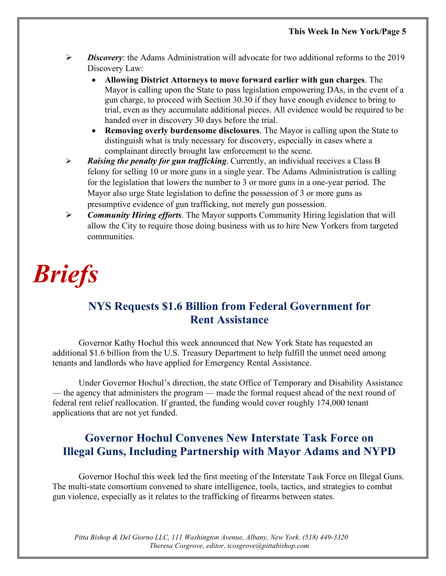- *Discovery*: the Adams Administration will advocate for two additional reforms to the 2019 Discovery Law:
	- **Allowing District Attorneys to move forward earlier with gun charges**. The Mayor is calling upon the State to pass legislation empowering DAs, in the event of a gun charge, to proceed with Section 30.30 if they have enough evidence to bring to trial, even as they accumulate additional pieces. All evidence would be required to be handed over in discovery 30 days before the trial.
	- **Removing overly burdensome disclosures**. The Mayor is calling upon the State to distinguish what is truly necessary for discovery, especially in cases where a complainant directly brought law enforcement to the scene.
- *Raising the penalty for gun trafficking*. Currently, an individual receives a Class B felony for selling 10 or more guns in a single year. The Adams Administration is calling for the legislation that lowers the number to 3 or more guns in a one-year period. The Mayor also urge State legislation to define the possession of 3 or more guns as presumptive evidence of gun trafficking, not merely gun possession.
- *Community Hiring efforts*. The Mayor supports Community Hiring legislation that will allow the City to require those doing business with us to hire New Yorkers from targeted communities.

# *Briefs*

#### **NYS Requests \$1.6 Billion from Federal Government for Rent Assistance**

Governor Kathy Hochul this week announced that New York State has requested an additional \$1.6 billion from the U.S. Treasury Department to help fulfill the unmet need among tenants and landlords who have applied for Emergency Rental Assistance.

Under Governor Hochul's direction, the state Office of Temporary and Disability Assistance — the agency that administers the program — made the formal request ahead of the next round of federal rent relief reallocation. If granted, the funding would cover roughly 174,000 tenant applications that are not yet funded.

#### **Governor Hochul Convenes New Interstate Task Force on Illegal Guns, Including Partnership with Mayor Adams and NYPD**

Governor Hochul this week led the first meeting of the Interstate Task Force on Illegal Guns. The multi-state consortium convened to share intelligence, tools, tactics, and strategies to combat gun violence, especially as it relates to the trafficking of firearms between states.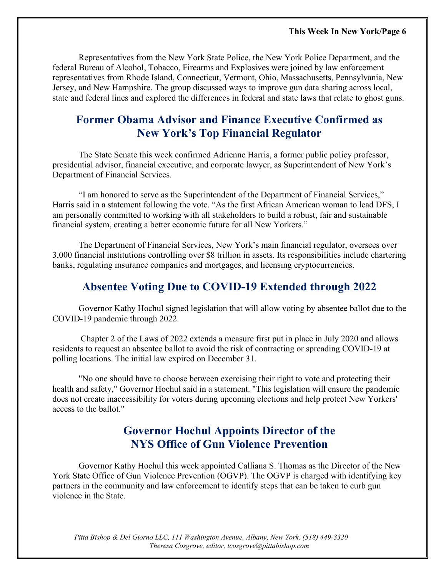Representatives from the New York State Police, the New York Police Department, and the federal Bureau of Alcohol, Tobacco, Firearms and Explosives were joined by law enforcement representatives from Rhode Island, Connecticut, Vermont, Ohio, Massachusetts, Pennsylvania, New Jersey, and New Hampshire. The group discussed ways to improve gun data sharing across local, state and federal lines and explored the differences in federal and state laws that relate to ghost guns.

#### **Former Obama Advisor and Finance Executive Confirmed as New York's Top Financial Regulator**

The State Senate this week confirmed Adrienne Harris, a former public policy professor, presidential advisor, financial executive, and corporate lawyer, as Superintendent of New York's Department of Financial Services.

"I am honored to serve as the Superintendent of the Department of Financial Services," Harris said in a statement following the vote. "As the first African American woman to lead DFS, I am personally committed to working with all stakeholders to build a robust, fair and sustainable financial system, creating a better economic future for all New Yorkers."

The Department of Financial Services, New York's main financial regulator, oversees over 3,000 financial institutions controlling over \$8 trillion in assets. Its responsibilities include chartering banks, regulating insurance companies and mortgages, and licensing cryptocurrencies.

#### **Absentee Voting Due to COVID-19 Extended through 2022**

Governor Kathy Hochul signed legislation that will allow voting by absentee ballot due to the COVID-19 pandemic through 2022.

Chapter 2 of the Laws of 2022 extends a measure first put in place in July 2020 and allows residents to request an absentee ballot to avoid the risk of contracting or spreading COVID-19 at polling locations. The initial law expired on December 31.

"No one should have to choose between exercising their right to vote and protecting their health and safety," Governor Hochul said in a statement. "This legislation will ensure the pandemic does not create inaccessibility for voters during upcoming elections and help protect New Yorkers' access to the ballot."

#### **Governor Hochul Appoints Director of the NYS Office of Gun Violence Prevention**

Governor Kathy Hochul this week appointed Calliana S. Thomas as the Director of the New York State Office of Gun Violence Prevention (OGVP). The OGVP is charged with identifying key partners in the community and law enforcement to identify steps that can be taken to curb gun violence in the State.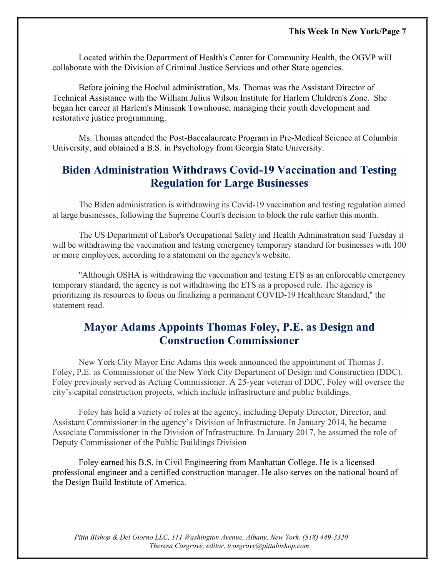Located within the Department of Health's Center for Community Health, the OGVP will collaborate with the Division of Criminal Justice Services and other State agencies.

Before joining the Hochul administration, Ms. Thomas was the Assistant Director of Technical Assistance with the William Julius Wilson Institute for Harlem Children's Zone. She began her career at Harlem's Minisink Townhouse, managing their youth development and restorative justice programming.

Ms. Thomas attended the Post-Baccalaureate Program in Pre-Medical Science at Columbia University, and obtained a B.S. in Psychology from Georgia State University.

#### **Biden Administration Withdraws Covid-19 Vaccination and Testing Regulation for Large Businesses**

The Biden administration is withdrawing its Covid-19 vaccination and testing regulation aimed at large businesses, following the Supreme Court's decision to block the rule earlier this month.

The US Department of Labor's Occupational Safety and Health Administration said Tuesday it will be withdrawing the vaccination and testing emergency temporary standard for businesses with 100 or more employees, according to a statement on the agency's website.

"Although OSHA is withdrawing the vaccination and testing ETS as an enforceable emergency temporary standard, the agency is not withdrawing the ETS as a proposed rule. The agency is prioritizing its resources to focus on finalizing a permanent COVID-19 Healthcare Standard," the statement read.

#### **Mayor Adams Appoints Thomas Foley, P.E. as Design and Construction Commissioner**

New York City Mayor Eric Adams this week announced the appointment of Thomas J. Foley, P.E. as Commissioner of the New York City Department of Design and Construction (DDC). Foley previously served as Acting Commissioner. A 25-year veteran of DDC, Foley will oversee the city's capital construction projects, which include infrastructure and public buildings.

Foley has held a variety of roles at the agency, including Deputy Director, Director, and Assistant Commissioner in the agency's Division of Infrastructure. In January 2014, he became Associate Commissioner in the Division of Infrastructure. In January 2017, he assumed the role of Deputy Commissioner of the Public Buildings Division

Foley earned his B.S. in Civil Engineering from Manhattan College. He is a licensed professional engineer and a certified construction manager. He also serves on the national board of the Design Build Institute of America.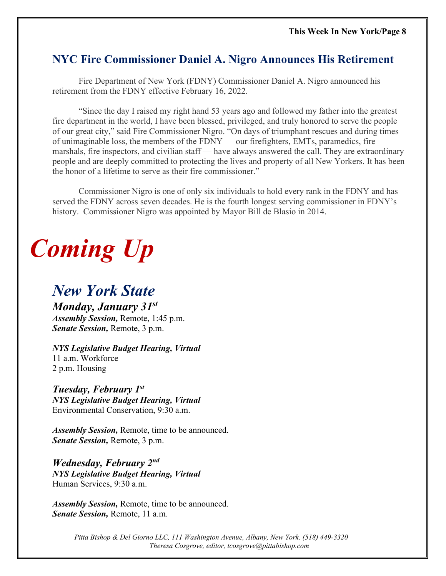#### **NYC Fire Commissioner Daniel A. Nigro Announces His Retirement**

Fire Department of New York (FDNY) Commissioner Daniel A. Nigro announced his retirement from the FDNY effective February 16, 2022.

"Since the day I raised my right hand 53 years ago and followed my father into the greatest fire department in the world, I have been blessed, privileged, and truly honored to serve the people of our great city," said Fire Commissioner Nigro. "On days of triumphant rescues and during times of unimaginable loss, the members of the FDNY — our firefighters, EMTs, paramedics, fire marshals, fire inspectors, and civilian staff — have always answered the call. They are extraordinary people and are deeply committed to protecting the lives and property of all New Yorkers. It has been the honor of a lifetime to serve as their fire commissioner."

Commissioner Nigro is one of only six individuals to hold every rank in the FDNY and has served the FDNY across seven decades. He is the fourth longest serving commissioner in FDNY's history. Commissioner Nigro was appointed by Mayor Bill de Blasio in 2014.

## *Coming Up*

#### *New York State*

*Monday, January 31st Assembly Session,* Remote, 1:45 p.m. *Senate Session,* Remote, 3 p.m.

*NYS Legislative Budget Hearing, Virtual* 11 a.m. Workforce 2 p.m. Housing

#### *Tuesday, February 1st*

*NYS Legislative Budget Hearing, Virtual* Environmental Conservation, 9:30 a.m.

*Assembly Session,* Remote, time to be announced. *Senate Session,* Remote, 3 p.m.

*Wednesday, February 2nd NYS Legislative Budget Hearing, Virtual* Human Services, 9:30 a.m.

*Assembly Session,* Remote, time to be announced. *Senate Session,* Remote, 11 a.m.